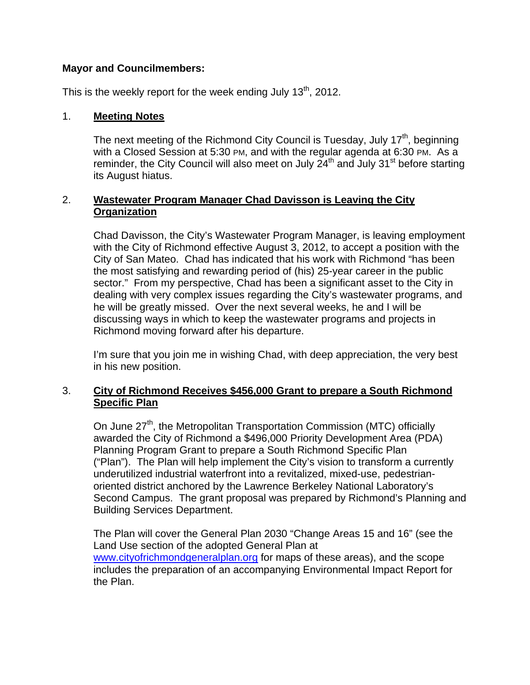## **Mayor and Councilmembers:**

This is the weekly report for the week ending July  $13<sup>th</sup>$ , 2012.

## 1. **Meeting Notes**

The next meeting of the Richmond City Council is Tuesday, July  $17<sup>th</sup>$ , beginning with a Closed Session at 5:30 PM, and with the regular agenda at 6:30 PM. As a reminder, the City Council will also meet on July  $24<sup>th</sup>$  and July  $31<sup>st</sup>$  before starting its August hiatus.

# 2. **Wastewater Program Manager Chad Davisson is Leaving the City Organization**

Chad Davisson, the City's Wastewater Program Manager, is leaving employment with the City of Richmond effective August 3, 2012, to accept a position with the City of San Mateo. Chad has indicated that his work with Richmond "has been the most satisfying and rewarding period of (his) 25-year career in the public sector." From my perspective, Chad has been a significant asset to the City in dealing with very complex issues regarding the City's wastewater programs, and he will be greatly missed. Over the next several weeks, he and I will be discussing ways in which to keep the wastewater programs and projects in Richmond moving forward after his departure.

I'm sure that you join me in wishing Chad, with deep appreciation, the very best in his new position.

# 3. **City of Richmond Receives \$456,000 Grant to prepare a South Richmond Specific Plan**

On June 27<sup>th</sup>, the Metropolitan Transportation Commission (MTC) officially awarded the City of Richmond a \$496,000 Priority Development Area (PDA) Planning Program Grant to prepare a South Richmond Specific Plan ("Plan"). The Plan will help implement the City's vision to transform a currently underutilized industrial waterfront into a revitalized, mixed-use, pedestrianoriented district anchored by the Lawrence Berkeley National Laboratory's Second Campus. The grant proposal was prepared by Richmond's Planning and Building Services Department.

The Plan will cover the General Plan 2030 "Change Areas 15 and 16" (see the Land Use section of the adopted General Plan at www.cityofrichmondgeneralplan.org for maps of these areas), and the scope includes the preparation of an accompanying Environmental Impact Report for the Plan.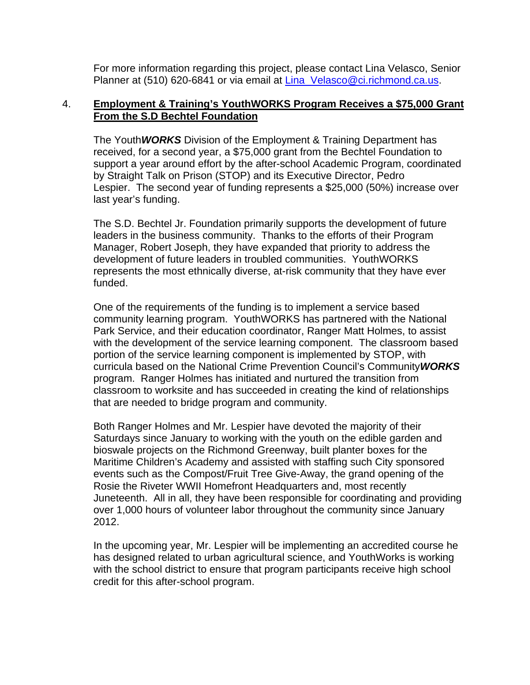For more information regarding this project, please contact Lina Velasco, Senior Planner at (510) 620-6841 or via email at Lina\_Velasco@ci.richmond.ca.us.

### 4. **Employment & Training's YouthWORKS Program Receives a \$75,000 Grant From the S.D Bechtel Foundation**

The Youth*WORKS* Division of the Employment & Training Department has received, for a second year, a \$75,000 grant from the Bechtel Foundation to support a year around effort by the after-school Academic Program, coordinated by Straight Talk on Prison (STOP) and its Executive Director, Pedro Lespier. The second year of funding represents a \$25,000 (50%) increase over last year's funding.

The S.D. Bechtel Jr. Foundation primarily supports the development of future leaders in the business community. Thanks to the efforts of their Program Manager, Robert Joseph, they have expanded that priority to address the development of future leaders in troubled communities. YouthWORKS represents the most ethnically diverse, at-risk community that they have ever funded.

One of the requirements of the funding is to implement a service based community learning program. YouthWORKS has partnered with the National Park Service, and their education coordinator, Ranger Matt Holmes, to assist with the development of the service learning component. The classroom based portion of the service learning component is implemented by STOP, with curricula based on the National Crime Prevention Council's Community*WORKS*  program. Ranger Holmes has initiated and nurtured the transition from classroom to worksite and has succeeded in creating the kind of relationships that are needed to bridge program and community.

Both Ranger Holmes and Mr. Lespier have devoted the majority of their Saturdays since January to working with the youth on the edible garden and bioswale projects on the Richmond Greenway, built planter boxes for the Maritime Children's Academy and assisted with staffing such City sponsored events such as the Compost/Fruit Tree Give-Away, the grand opening of the Rosie the Riveter WWII Homefront Headquarters and, most recently Juneteenth. All in all, they have been responsible for coordinating and providing over 1,000 hours of volunteer labor throughout the community since January 2012.

In the upcoming year, Mr. Lespier will be implementing an accredited course he has designed related to urban agricultural science, and YouthWorks is working with the school district to ensure that program participants receive high school credit for this after-school program.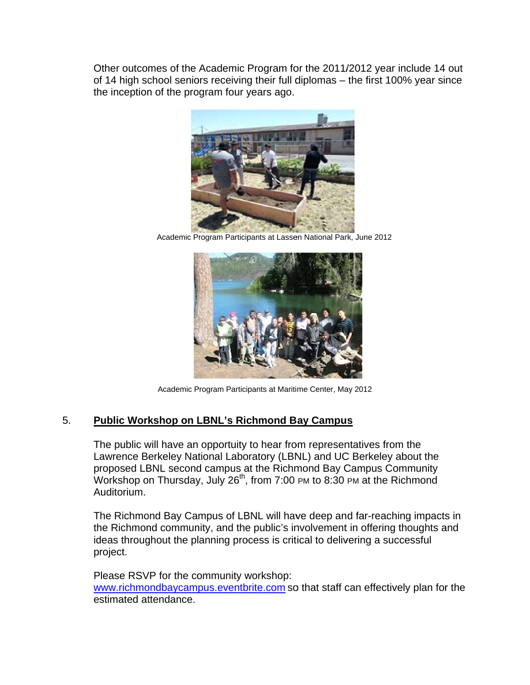Other outcomes of the Academic Program for the 2011/2012 year include 14 out of 14 high school seniors receiving their full diplomas – the first 100% year since the inception of the program four years ago.



Academic Program Participants at Lassen National Park, June 2012



Academic P Program Partici pants at Mariti me Center, Ma ay 2012

# 5. Public Workshop on LBNL's Richmond Bay Campus

The public will have an opportuity to hear from representatives from the Lawrence Berkeley National Laboratory (LBNL) and UC Berkeley about the proposed LBNL second campus at the Richmond Bay Campus Community Workshop on Thursday, July 26<sup>th</sup>, from 7:00 PM to 8:30 PM at the Richmond A Auditorium.

The Richmond Bay Campus of LBNL will have deep and far-reaching impacts in the Richmond community, and the public's involvement in offering thoughts and ideas throughout the planning process is critical to delivering a successful p roject.

Please RSVP for the community workshop: www.richmondbaycampus.eventbrite.com so that staff can effectively plan for the estimated attendance.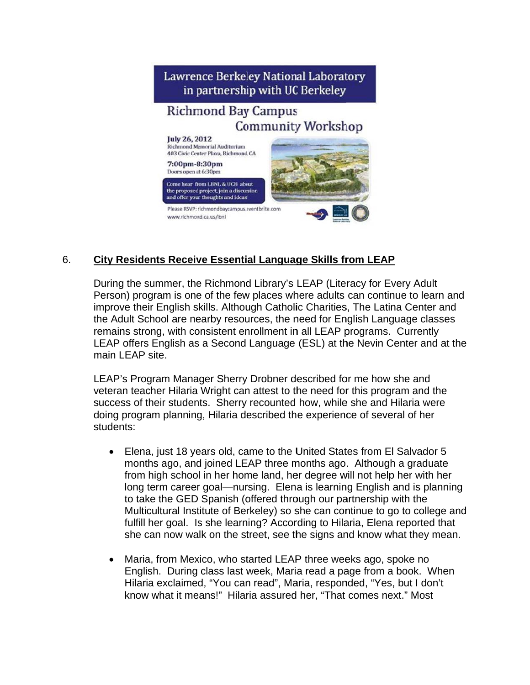

#### 6. **City Residents Receive Essential Language Skills from LEAP**

During the summer, the Richmond Library's LEAP (Literacy for Every Adult Person) program is one of the few places where adults can continue to learn and improve their English skills. Although Catholic Charities, The Latina Center and the Adult School are nearby resources, the need for English Language classes remains strong, with consistent enrollment in all LEAP programs. Currently LEAP offers English as a Second Language (ESL) at the Nevin Center and at the main LEAP site.

LEAP's Program Manager Sherry Drobner described for me how she and veteran teacher Hilaria Wright can attest to the need for this program and the success of their students. Sherry recounted how, while she and Hilaria were doing program planning, Hilaria described the experience of several of her students:

- Elena, just 18 years old, came to the United States from El Salvador 5  $\bullet$ months ago, and joined LEAP three months ago. Although a graduate from high school in her home land, her degree will not help her with her long term career goal—nursing. Elena is learning English and is planning to take the GED Spanish (offered through our partnership with the Multicultural Institute of Berkeley) so she can continue to go to college and fulfill her goal. Is she learning? According to Hilaria, Elena reported that she can now walk on the street, see the signs and know what they mean.
- Maria, from Mexico, who started LEAP three weeks ago, spoke no  $\bullet$ English. During class last week, Maria read a page from a book. When Hilaria exclaimed, "You can read", Maria, responded, "Yes, but I don't know what it means!" Hilaria assured her, "That comes next." Most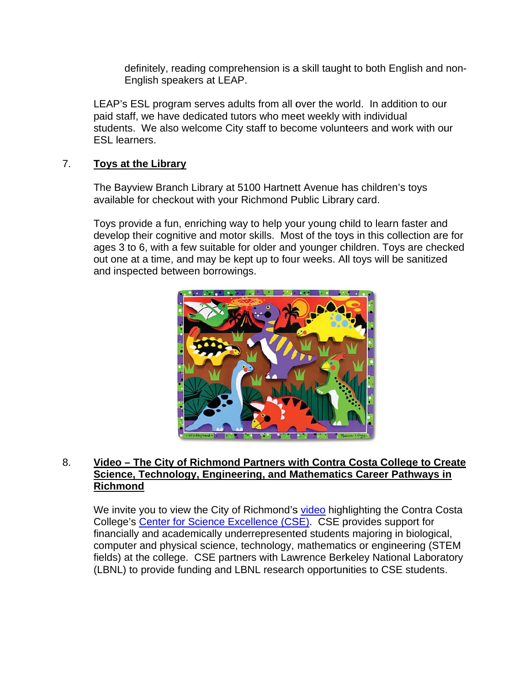definitely, reading comprehension is a skill taught to both English and non-English speakers at LEAP.

LEAP's ESL program serves adults from all over the world. In addition to our paid staff, we have dedicated tutors who meet weekly with individual students. We also welcome City staff to become volunteers and work with our **FSI** learners

#### $7.$ **Toys at the Library**

The Bayview Branch Library at 5100 Hartnett Avenue has children's toys available for checkout with your Richmond Public Library card.

Toys provide a fun, enriching way to help your young child to learn faster and develop their cognitive and motor skills. Most of the toys in this collection are for ages 3 to 6, with a few suitable for older and younger children. Toys are checked out one at a time, and may be kept up to four weeks. All toys will be sanitized and inspected between borrowings.



### 8. Video - The City of Richmond Partners with Contra Costa College to Create Science, Technology, Engineering, and Mathematics Career Pathways in **Richmond**

We invite you to view the City of Richmond's video highlighting the Contra Costa College's Center for Science Excellence (CSE). CSE provides support for financially and academically underrepresented students majoring in biological, computer and physical science, technology, mathematics or engineering (STEM fields) at the college. CSE partners with Lawrence Berkeley National Laboratory (LBNL) to provide funding and LBNL research opportunities to CSE students.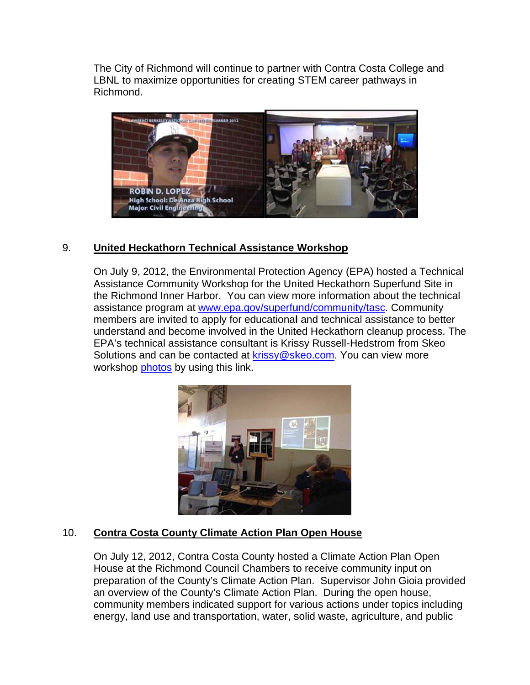The City of Richmond will continue to partner with Contra Costa College and LBNL to maximize opportunities for creating STEM career pathways in Richmond.



#### 9. United Heckathorn Technical Assistance Workshop

On July 9, 2012, the Environmental Protection Agency (EPA) hosted a Technical Assistance Community Workshop for the United Heckathorn Superfund Site in the Richmond Inner Harbor. You can view more information about the technical assistance program at www.epa.gov/superfund/community/tasc. Community members are invited to apply for educational and technical assistance to better understand and become involved in the United Heckathorn cleanup process. The EPA's technical assistance consultant is Krissy Russell-Hedstrom from Skeo Solutions and can be contacted at krissy@skeo.com. You can view more workshop photos by using this link.



#### $10.$ **Contra Costa County Climate Action Plan Open House**

On July 12, 2012, Contra Costa County hosted a Climate Action Plan Open House at the Richmond Council Chambers to receive community input on preparation of the County's Climate Action Plan. Supervisor John Gioia provided an overview of the County's Climate Action Plan. During the open house, community members indicated support for various actions under topics including energy, land use and transportation, water, solid waste, agriculture, and public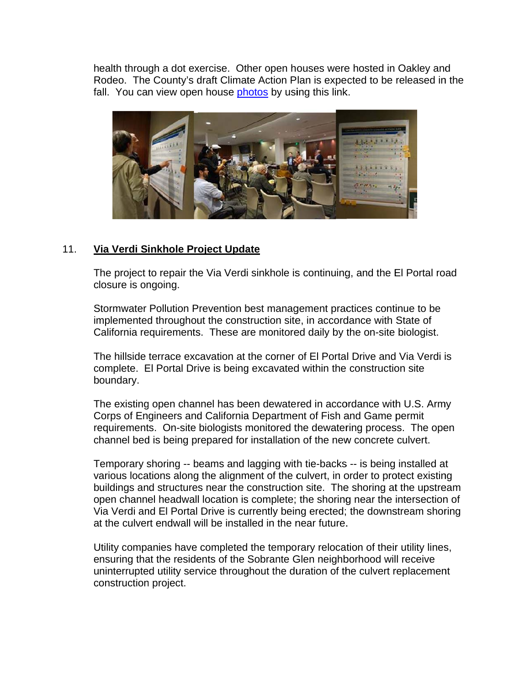health through a dot exercise. Other open houses were hosted in Oakley and Rodeo. The County's draft Climate Action Plan is expected to be released in the fall. You can view open house photos by using this link.



#### $11<sub>1</sub>$ Via Verdi Sinkhole Project Update

The project to repair the Via Verdi sinkhole is continuing, and the El Portal road closure is ongoing.

Stormwater Pollution Prevention best management practices continue to be implemented throughout the construction site, in accordance with State of California requirements. These are monitored daily by the on-site biologist.

The hillside terrace excavation at the corner of El Portal Drive and Via Verdi is complete. El Portal Drive is being excavated within the construction site boundary.

The existing open channel has been dewatered in accordance with U.S. Army Corps of Engineers and California Department of Fish and Game permit requirements. On-site biologists monitored the dewatering process. The open channel bed is being prepared for installation of the new concrete culvert.

Temporary shoring -- beams and lagging with tie-backs -- is being installed at various locations along the alignment of the culvert, in order to protect existing buildings and structures near the construction site. The shoring at the upstream open channel headwall location is complete; the shoring near the intersection of Via Verdi and El Portal Drive is currently being erected; the downstream shoring at the culvert endwall will be installed in the near future.

Utility companies have completed the temporary relocation of their utility lines, ensuring that the residents of the Sobrante Glen neighborhood will receive uninterrupted utility service throughout the duration of the culvert replacement construction project.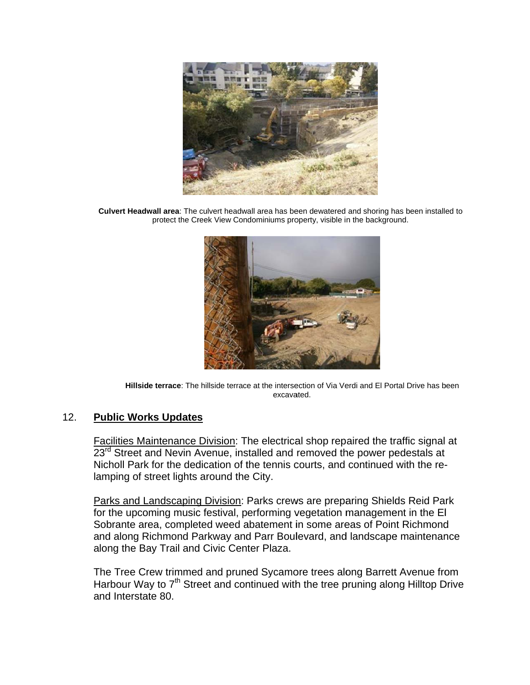

Culvert Headwall area: The culvert headwall area has been dewatered and shoring has been installed to protect the Creek View Condominiums property, visible in the background.



Hillside terrace: The hillside terrace at the intersection of Via Verdi and El Portal Drive has been excavated.

#### **Public Works Updates**  $12.$

Facilities Maintenance Division: The electrical shop repaired the traffic signal at 23<sup>rd</sup> Street and Nevin Avenue, installed and removed the power pedestals at Nicholl Park for the dedication of the tennis courts, and continued with the relamping of street lights around the City.

Parks and Landscaping Division: Parks crews are preparing Shields Reid Park for the upcoming music festival, performing vegetation management in the EI Sobrante area, completed weed abatement in some areas of Point Richmond and along Richmond Parkway and Parr Boulevard, and landscape maintenance along the Bay Trail and Civic Center Plaza.

The Tree Crew trimmed and pruned Sycamore trees along Barrett Avenue from Harbour Way to 7<sup>th</sup> Street and continued with the tree pruning along Hilltop Drive and Interstate 80.